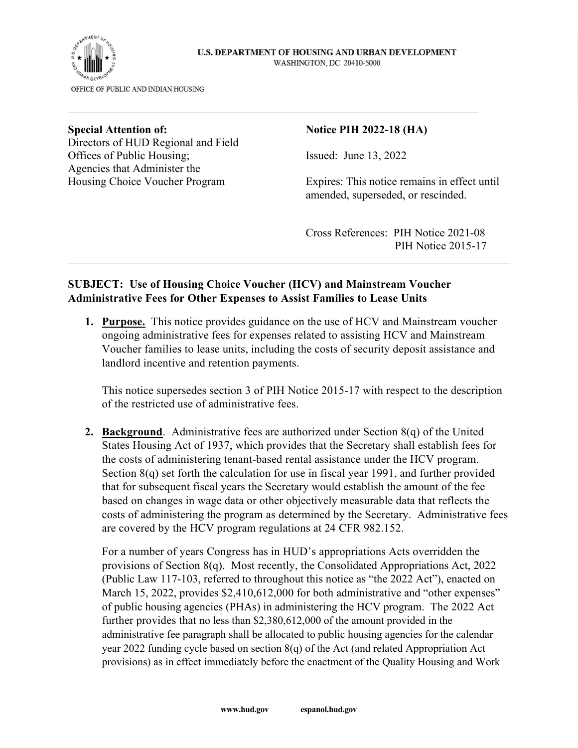

## U.S. DEPARTMENT OF HOUSING AND URBAN DEVELOPMENT WASHINGTON, DC 20410-5000

Directors of HUD Regional and Field Offices of Public Housing; Issued: June 13, 2022 Agencies that Administer the

## Special Attention of: Notice PIH 2022-18 (HA)

Housing Choice Voucher Program Expires: This notice remains in effect until amended, superseded, or rescinded.

> Cross References: PIH Notice 2021-08 PIH Notice 2015-17

## **SUBJECT: Use of Housing Choice Voucher (HCV) and Mainstream Voucher Administrative Fees for Other Expenses to Assist Families to Lease Units**

**1. Purpose.** This notice provides guidance on the use of HCV and Mainstream voucher ongoing administrative fees for expenses related to assisting HCV and Mainstream Voucher families to lease units, including the costs of security deposit assistance and landlord incentive and retention payments.

This notice supersedes section 3 of PIH Notice 2015-17 with respect to the description of the restricted use of administrative fees.

**2. Background**. Administrative fees are authorized under Section 8(q) of the United States Housing Act of 1937, which provides that the Secretary shall establish fees for the costs of administering tenant-based rental assistance under the HCV program. Section 8(q) set forth the calculation for use in fiscal year 1991, and further provided that for subsequent fiscal years the Secretary would establish the amount of the fee based on changes in wage data or other objectively measurable data that reflects the costs of administering the program as determined by the Secretary. Administrative fees are covered by the HCV program regulations at 24 CFR 982.152.

For a number of years Congress has in HUD's appropriations Acts overridden the provisions of Section 8(q). Most recently, the Consolidated Appropriations Act, 2022 (Public Law 117-103, referred to throughout this notice as "the 2022 Act"), enacted on March 15, 2022, provides \$2,410,612,000 for both administrative and "other expenses" of public housing agencies (PHAs) in administering the HCV program. The 2022 Act further provides that no less than \$2,380,612,000 of the amount provided in the administrative fee paragraph shall be allocated to public housing agencies for the calendar year 2022 funding cycle based on section 8(q) of the Act (and related Appropriation Act provisions) as in effect immediately before the enactment of the Quality Housing and Work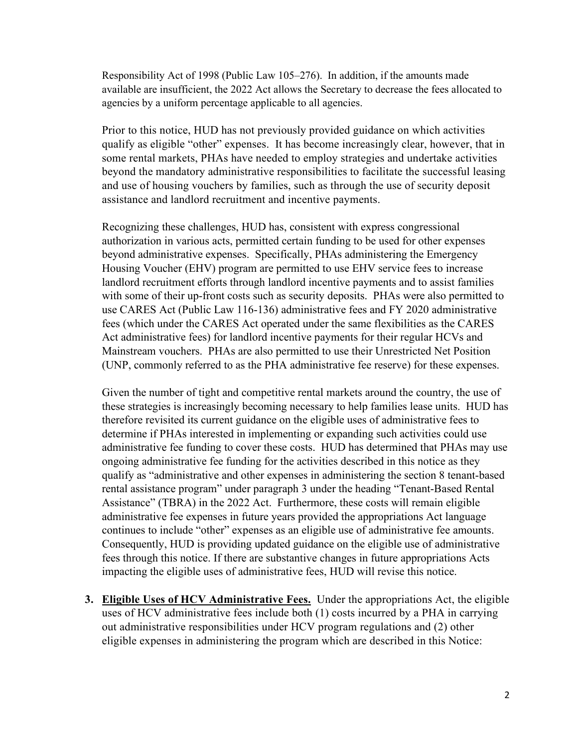Responsibility Act of 1998 (Public Law 105–276). In addition, if the amounts made available are insufficient, the 2022 Act allows the Secretary to decrease the fees allocated to agencies by a uniform percentage applicable to all agencies.

Prior to this notice, HUD has not previously provided guidance on which activities qualify as eligible "other" expenses. It has become increasingly clear, however, that in some rental markets, PHAs have needed to employ strategies and undertake activities beyond the mandatory administrative responsibilities to facilitate the successful leasing and use of housing vouchers by families, such as through the use of security deposit assistance and landlord recruitment and incentive payments.

Recognizing these challenges, HUD has, consistent with express congressional authorization in various acts, permitted certain funding to be used for other expenses beyond administrative expenses. Specifically, PHAs administering the Emergency Housing Voucher (EHV) program are permitted to use EHV service fees to increase landlord recruitment efforts through landlord incentive payments and to assist families with some of their up-front costs such as security deposits. PHAs were also permitted to use CARES Act (Public Law 116-136) administrative fees and FY 2020 administrative fees (which under the CARES Act operated under the same flexibilities as the CARES Act administrative fees) for landlord incentive payments for their regular HCVs and Mainstream vouchers. PHAs are also permitted to use their Unrestricted Net Position (UNP, commonly referred to as the PHA administrative fee reserve) for these expenses.

Given the number of tight and competitive rental markets around the country, the use of these strategies is increasingly becoming necessary to help families lease units. HUD has therefore revisited its current guidance on the eligible uses of administrative fees to determine if PHAs interested in implementing or expanding such activities could use administrative fee funding to cover these costs. HUD has determined that PHAs may use ongoing administrative fee funding for the activities described in this notice as they qualify as "administrative and other expenses in administering the section 8 tenant-based rental assistance program" under paragraph 3 under the heading "Tenant-Based Rental Assistance" (TBRA) in the 2022 Act. Furthermore, these costs will remain eligible administrative fee expenses in future years provided the appropriations Act language continues to include "other" expenses as an eligible use of administrative fee amounts. Consequently, HUD is providing updated guidance on the eligible use of administrative fees through this notice. If there are substantive changes in future appropriations Acts impacting the eligible uses of administrative fees, HUD will revise this notice.

**3. Eligible Uses of HCV Administrative Fees.** Under the appropriations Act, the eligible uses of HCV administrative fees include both (1) costs incurred by a PHA in carrying out administrative responsibilities under HCV program regulations and (2) other eligible expenses in administering the program which are described in this Notice: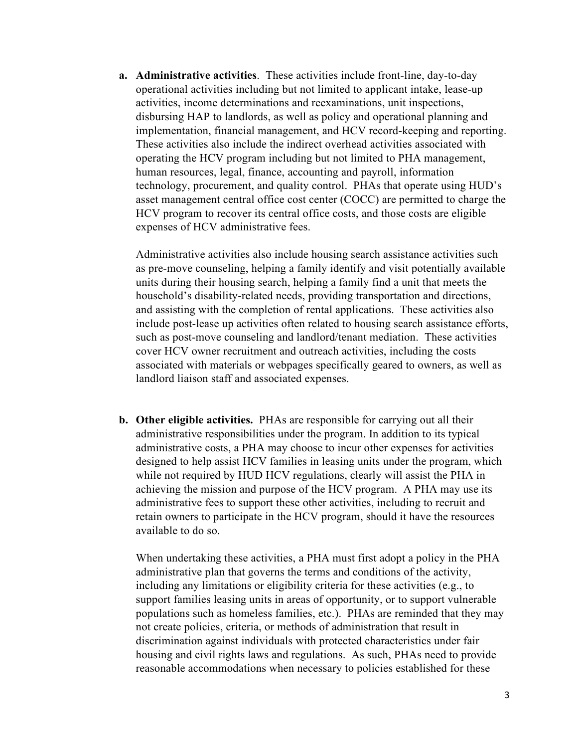**a. Administrative activities**. These activities include front-line, day-to-day operational activities including but not limited to applicant intake, lease-up activities, income determinations and reexaminations, unit inspections, disbursing HAP to landlords, as well as policy and operational planning and implementation, financial management, and HCV record-keeping and reporting. These activities also include the indirect overhead activities associated with operating the HCV program including but not limited to PHA management, human resources, legal, finance, accounting and payroll, information technology, procurement, and quality control. PHAs that operate using HUD's asset management central office cost center (COCC) are permitted to charge the HCV program to recover its central office costs, and those costs are eligible expenses of HCV administrative fees.

Administrative activities also include housing search assistance activities such as pre-move counseling, helping a family identify and visit potentially available units during their housing search, helping a family find a unit that meets the household's disability-related needs, providing transportation and directions, and assisting with the completion of rental applications. These activities also include post-lease up activities often related to housing search assistance efforts, such as post-move counseling and landlord/tenant mediation. These activities cover HCV owner recruitment and outreach activities, including the costs associated with materials or webpages specifically geared to owners, as well as landlord liaison staff and associated expenses.

**b. Other eligible activities.** PHAs are responsible for carrying out all their administrative responsibilities under the program. In addition to its typical administrative costs, a PHA may choose to incur other expenses for activities designed to help assist HCV families in leasing units under the program, which while not required by HUD HCV regulations, clearly will assist the PHA in achieving the mission and purpose of the HCV program. A PHA may use its administrative fees to support these other activities, including to recruit and retain owners to participate in the HCV program, should it have the resources available to do so.

When undertaking these activities, a PHA must first adopt a policy in the PHA administrative plan that governs the terms and conditions of the activity, including any limitations or eligibility criteria for these activities (e.g., to support families leasing units in areas of opportunity, or to support vulnerable populations such as homeless families, etc.). PHAs are reminded that they may not create policies, criteria, or methods of administration that result in discrimination against individuals with protected characteristics under fair housing and civil rights laws and regulations. As such, PHAs need to provide reasonable accommodations when necessary to policies established for these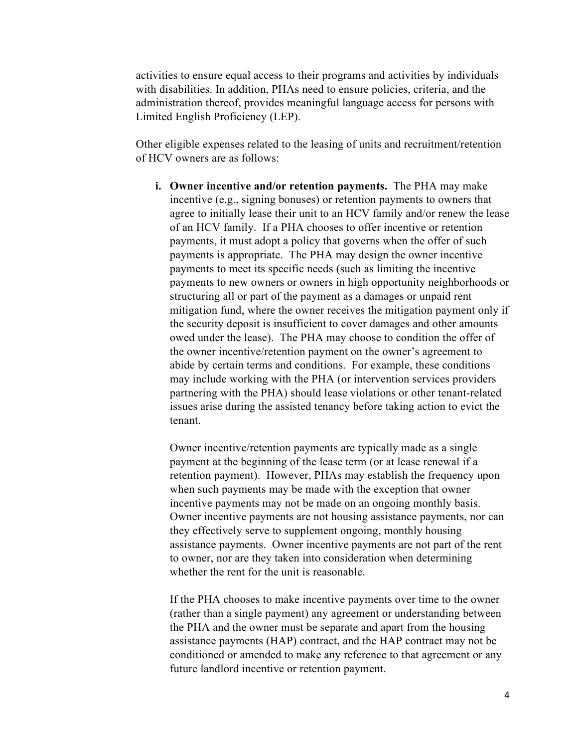activities to ensure equal access to their programs and activities by individuals with disabilities. In addition, PHAs need to ensure policies, criteria, and the administration thereof, provides meaningful language access for persons with Limited English Proficiency (LEP).

Other eligible expenses related to the leasing of units and recruitment/retention of HCV owners are as follows:

**i. Owner incentive and/or retention payments.** The PHA may make incentive (e.g., signing bonuses) or retention payments to owners that agree to initially lease their unit to an HCV family and/or renew the lease of an HCV family. If a PHA chooses to offer incentive or retention payments, it must adopt a policy that governs when the offer of such payments is appropriate. The PHA may design the owner incentive payments to meet its specific needs (such as limiting the incentive payments to new owners or owners in high opportunity neighborhoods or structuring all or part of the payment as a damages or unpaid rent mitigation fund, where the owner receives the mitigation payment only if the security deposit is insufficient to cover damages and other amounts owed under the lease). The PHA may choose to condition the offer of the owner incentive/retention payment on the owner's agreement to abide by certain terms and conditions. For example, these conditions may include working with the PHA (or intervention services providers partnering with the PHA) should lease violations or other tenant-related issues arise during the assisted tenancy before taking action to evict the tenant.

Owner incentive/retention payments are typically made as a single payment at the beginning of the lease term (or at lease renewal if a retention payment). However, PHAs may establish the frequency upon when such payments may be made with the exception that owner incentive payments may not be made on an ongoing monthly basis. Owner incentive payments are not housing assistance payments, nor can they effectively serve to supplement ongoing, monthly housing assistance payments. Owner incentive payments are not part of the rent to owner, nor are they taken into consideration when determining whether the rent for the unit is reasonable.

If the PHA chooses to make incentive payments over time to the owner (rather than a single payment) any agreement or understanding between the PHA and the owner must be separate and apart from the housing assistance payments (HAP) contract, and the HAP contract may not be conditioned or amended to make any reference to that agreement or any future landlord incentive or retention payment.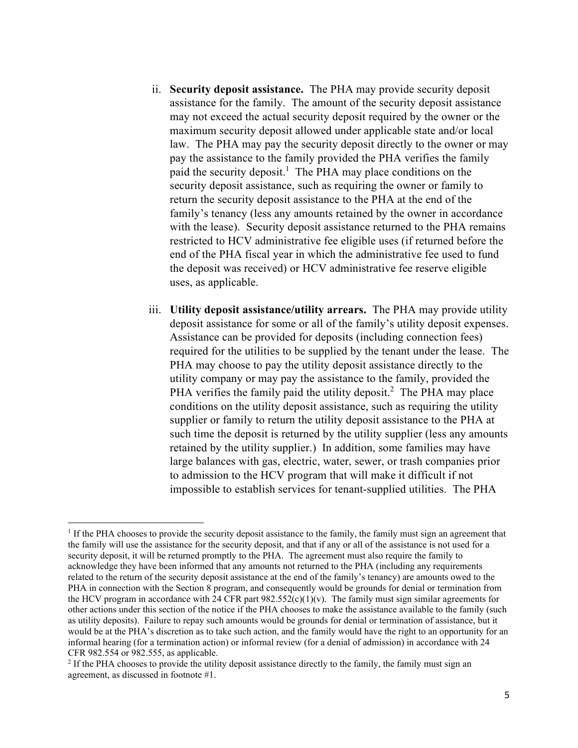- ii. **Security deposit assistance.** The PHA may provide security deposit assistance for the family. The amount of the security deposit assistance may not exceed the actual security deposit required by the owner or the maximum security deposit allowed under applicable state and/or local law. The PHA may pay the security deposit directly to the owner or may pay the assistance to the family provided the PHA verifies the family paid the security deposit.<sup>[1](#page-4-0)</sup> The PHA may place conditions on the security deposit assistance, such as requiring the owner or family to return the security deposit assistance to the PHA at the end of the family's tenancy (less any amounts retained by the owner in accordance with the lease). Security deposit assistance returned to the PHA remains restricted to HCV administrative fee eligible uses (if returned before the end of the PHA fiscal year in which the administrative fee used to fund the deposit was received) or HCV administrative fee reserve eligible uses, as applicable.
- iii. **Utility deposit assistance/utility arrears.** The PHA may provide utility deposit assistance for some or all of the family's utility deposit expenses. Assistance can be provided for deposits (including connection fees) required for the utilities to be supplied by the tenant under the lease. The PHA may choose to pay the utility deposit assistance directly to the utility company or may pay the assistance to the family, provided the PHA verifies the family paid the utility deposit.<sup>[2](#page-4-1)</sup> The PHA may place conditions on the utility deposit assistance, such as requiring the utility supplier or family to return the utility deposit assistance to the PHA at such time the deposit is returned by the utility supplier (less any amounts retained by the utility supplier.) In addition, some families may have large balances with gas, electric, water, sewer, or trash companies prior to admission to the HCV program that will make it difficult if not impossible to establish services for tenant-supplied utilities. The PHA

<span id="page-4-0"></span><sup>&</sup>lt;sup>1</sup> If the PHA chooses to provide the security deposit assistance to the family, the family must sign an agreement that the family will use the assistance for the security deposit, and that if any or all of the assistance is not used for a security deposit, it will be returned promptly to the PHA. The agreement must also require the family to acknowledge they have been informed that any amounts not returned to the PHA (including any requirements related to the return of the security deposit assistance at the end of the family's tenancy) are amounts owed to the PHA in connection with the Section 8 program, and consequently would be grounds for denial or termination from the HCV program in accordance with 24 CFR part  $982.552(c)(1)(v)$ . The family must sign similar agreements for other actions under this section of the notice if the PHA chooses to make the assistance available to the family (such as utility deposits). Failure to repay such amounts would be grounds for denial or termination of assistance, but it would be at the PHA's discretion as to take such action, and the family would have the right to an opportunity for an informal hearing (for a termination action) or informal review (for a denial of admission) in accordance with 24 CFR 982.554 or 982.555, as applicable.

<span id="page-4-1"></span> $<sup>2</sup>$  If the PHA chooses to provide the utility deposit assistance directly to the family, the family must sign an</sup> agreement, as discussed in footnote #1.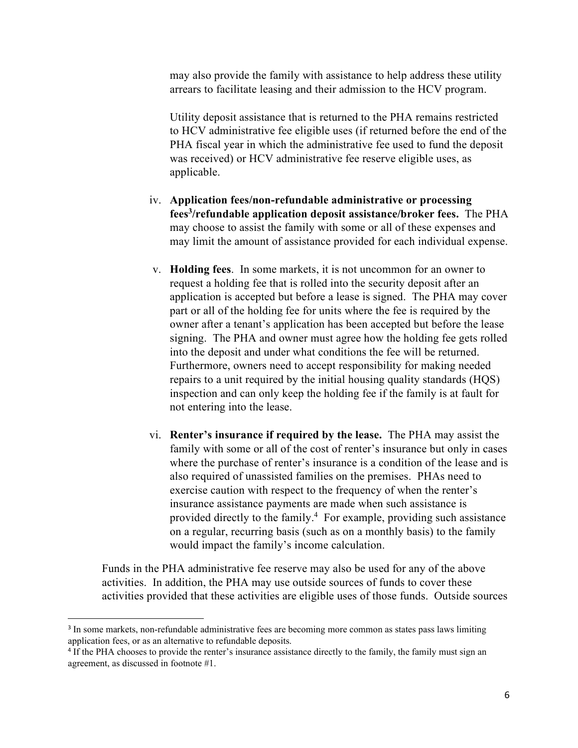may also provide the family with assistance to help address these utility arrears to facilitate leasing and their admission to the HCV program.

Utility deposit assistance that is returned to the PHA remains restricted to HCV administrative fee eligible uses (if returned before the end of the PHA fiscal year in which the administrative fee used to fund the deposit was received) or HCV administrative fee reserve eligible uses, as applicable.

- iv. **Application fees/non-refundable administrative or processing fees[3](#page-5-0) /refundable application deposit assistance/broker fees.** The PHA may choose to assist the family with some or all of these expenses and may limit the amount of assistance provided for each individual expense.
- v. **Holding fees**. In some markets, it is not uncommon for an owner to request a holding fee that is rolled into the security deposit after an application is accepted but before a lease is signed. The PHA may cover part or all of the holding fee for units where the fee is required by the owner after a tenant's application has been accepted but before the lease signing. The PHA and owner must agree how the holding fee gets rolled into the deposit and under what conditions the fee will be returned. Furthermore, owners need to accept responsibility for making needed repairs to a unit required by the initial housing quality standards (HQS) inspection and can only keep the holding fee if the family is at fault for not entering into the lease.
- vi. **Renter's insurance if required by the lease.** The PHA may assist the family with some or all of the cost of renter's insurance but only in cases where the purchase of renter's insurance is a condition of the lease and is also required of unassisted families on the premises. PHAs need to exercise caution with respect to the frequency of when the renter's insurance assistance payments are made when such assistance is provided directly to the family.<sup>[4](#page-5-1)</sup> For example, providing such assistance on a regular, recurring basis (such as on a monthly basis) to the family would impact the family's income calculation.

Funds in the PHA administrative fee reserve may also be used for any of the above activities. In addition, the PHA may use outside sources of funds to cover these activities provided that these activities are eligible uses of those funds. Outside sources

<span id="page-5-0"></span><sup>&</sup>lt;sup>3</sup> In some markets, non-refundable administrative fees are becoming more common as states pass laws limiting application fees, or as an alternative to refundable deposits.

<span id="page-5-1"></span><sup>&</sup>lt;sup>4</sup> If the PHA chooses to provide the renter's insurance assistance directly to the family, the family must sign an agreement, as discussed in footnote #1.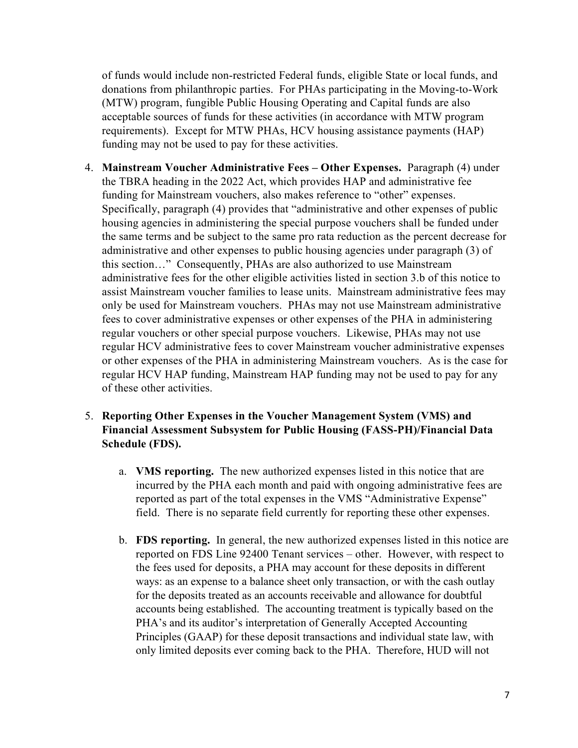of funds would include non-restricted Federal funds, eligible State or local funds, and donations from philanthropic parties. For PHAs participating in the Moving-to-Work (MTW) program, fungible Public Housing Operating and Capital funds are also acceptable sources of funds for these activities (in accordance with MTW program requirements). Except for MTW PHAs, HCV housing assistance payments (HAP) funding may not be used to pay for these activities.

- 4. **Mainstream Voucher Administrative Fees Other Expenses.** Paragraph (4) under the TBRA heading in the 2022 Act, which provides HAP and administrative fee funding for Mainstream vouchers, also makes reference to "other" expenses. Specifically, paragraph (4) provides that "administrative and other expenses of public housing agencies in administering the special purpose vouchers shall be funded under the same terms and be subject to the same pro rata reduction as the percent decrease for administrative and other expenses to public housing agencies under paragraph (3) of this section…" Consequently, PHAs are also authorized to use Mainstream administrative fees for the other eligible activities listed in section 3.b of this notice to assist Mainstream voucher families to lease units. Mainstream administrative fees may only be used for Mainstream vouchers. PHAs may not use Mainstream administrative fees to cover administrative expenses or other expenses of the PHA in administering regular vouchers or other special purpose vouchers. Likewise, PHAs may not use regular HCV administrative fees to cover Mainstream voucher administrative expenses or other expenses of the PHA in administering Mainstream vouchers. As is the case for regular HCV HAP funding, Mainstream HAP funding may not be used to pay for any of these other activities.
- 5. **Reporting Other Expenses in the Voucher Management System (VMS) and Financial Assessment Subsystem for Public Housing (FASS-PH)/Financial Data Schedule (FDS).** 
	- a. **VMS reporting.** The new authorized expenses listed in this notice that are incurred by the PHA each month and paid with ongoing administrative fees are reported as part of the total expenses in the VMS "Administrative Expense" field. There is no separate field currently for reporting these other expenses.
	- b. **FDS reporting.** In general, the new authorized expenses listed in this notice are reported on FDS Line 92400 Tenant services – other. However, with respect to the fees used for deposits, a PHA may account for these deposits in different ways: as an expense to a balance sheet only transaction, or with the cash outlay for the deposits treated as an accounts receivable and allowance for doubtful accounts being established. The accounting treatment is typically based on the PHA's and its auditor's interpretation of Generally Accepted Accounting Principles (GAAP) for these deposit transactions and individual state law, with only limited deposits ever coming back to the PHA. Therefore, HUD will not